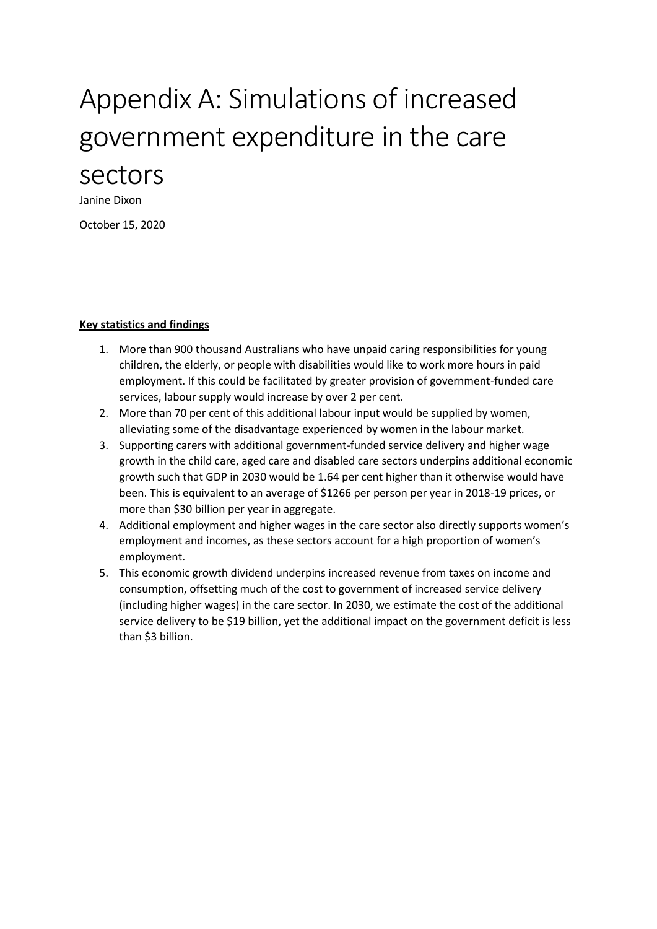# Appendix A: Simulations of increased government expenditure in the care sectors

Janine Dixon

October 15, 2020

#### **Key statistics and findings**

- 1. More than 900 thousand Australians who have unpaid caring responsibilities for young children, the elderly, or people with disabilities would like to work more hours in paid employment. If this could be facilitated by greater provision of government-funded care services, labour supply would increase by over 2 per cent.
- 2. More than 70 per cent of this additional labour input would be supplied by women, alleviating some of the disadvantage experienced by women in the labour market.
- 3. Supporting carers with additional government-funded service delivery and higher wage growth in the child care, aged care and disabled care sectors underpins additional economic growth such that GDP in 2030 would be 1.64 per cent higher than it otherwise would have been. This is equivalent to an average of \$1266 per person per year in 2018-19 prices, or more than \$30 billion per year in aggregate.
- 4. Additional employment and higher wages in the care sector also directly supports women's employment and incomes, as these sectors account for a high proportion of women's employment.
- 5. This economic growth dividend underpins increased revenue from taxes on income and consumption, offsetting much of the cost to government of increased service delivery (including higher wages) in the care sector. In 2030, we estimate the cost of the additional service delivery to be \$19 billion, yet the additional impact on the government deficit is less than \$3 billion.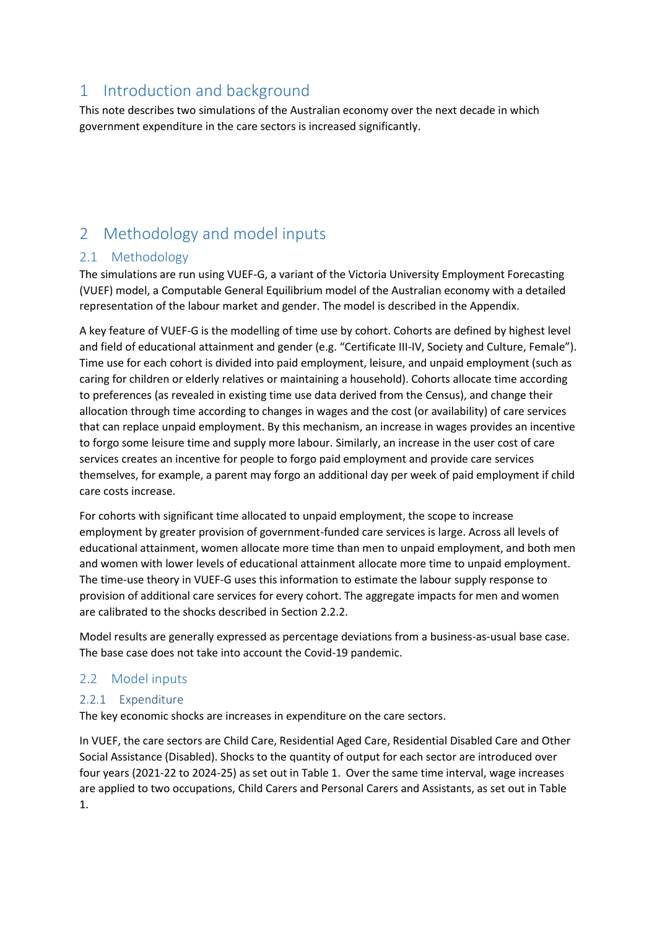# 1 Introduction and background

This note describes two simulations of the Australian economy over the next decade in which government expenditure in the care sectors is increased significantly.

# 2 Methodology and model inputs

## 2.1 Methodology

The simulations are run using VUEF-G, a variant of the Victoria University Employment Forecasting (VUEF) model, a Computable General Equilibrium model of the Australian economy with a detailed representation of the labour market and gender. The model is described in the Appendix.

A key feature of VUEF-G is the modelling of time use by cohort. Cohorts are defined by highest level and field of educational attainment and gender (e.g. "Certificate III-IV, Society and Culture, Female"). Time use for each cohort is divided into paid employment, leisure, and unpaid employment (such as caring for children or elderly relatives or maintaining a household). Cohorts allocate time according to preferences (as revealed in existing time use data derived from the Census), and change their allocation through time according to changes in wages and the cost (or availability) of care services that can replace unpaid employment. By this mechanism, an increase in wages provides an incentive to forgo some leisure time and supply more labour. Similarly, an increase in the user cost of care services creates an incentive for people to forgo paid employment and provide care services themselves, for example, a parent may forgo an additional day per week of paid employment if child care costs increase.

For cohorts with significant time allocated to unpaid employment, the scope to increase employment by greater provision of government-funded care services is large. Across all levels of educational attainment, women allocate more time than men to unpaid employment, and both men and women with lower levels of educational attainment allocate more time to unpaid employment. The time-use theory in VUEF-G uses this information to estimate the labour supply response to provision of additional care services for every cohort. The aggregate impacts for men and women are calibrated to the shocks described in Sectio[n 2.2.2.](#page-2-0)

Model results are generally expressed as percentage deviations from a business-as-usual base case. The base case does not take into account the Covid-19 pandemic.

## 2.2 Model inputs

## 2.2.1 Expenditure

The key economic shocks are increases in expenditure on the care sectors.

In VUEF, the care sectors are Child Care, Residential Aged Care, Residential Disabled Care and Other Social Assistance (Disabled). Shocks to the quantity of output for each sector are introduced over four years (2021-22 to 2024-25) as set out i[n Table 1.](#page-2-1) Over the same time interval, wage increases are applied to two occupations, Child Carers and Personal Carers and Assistants, as set out in [Table](#page-2-1)  [1.](#page-2-1)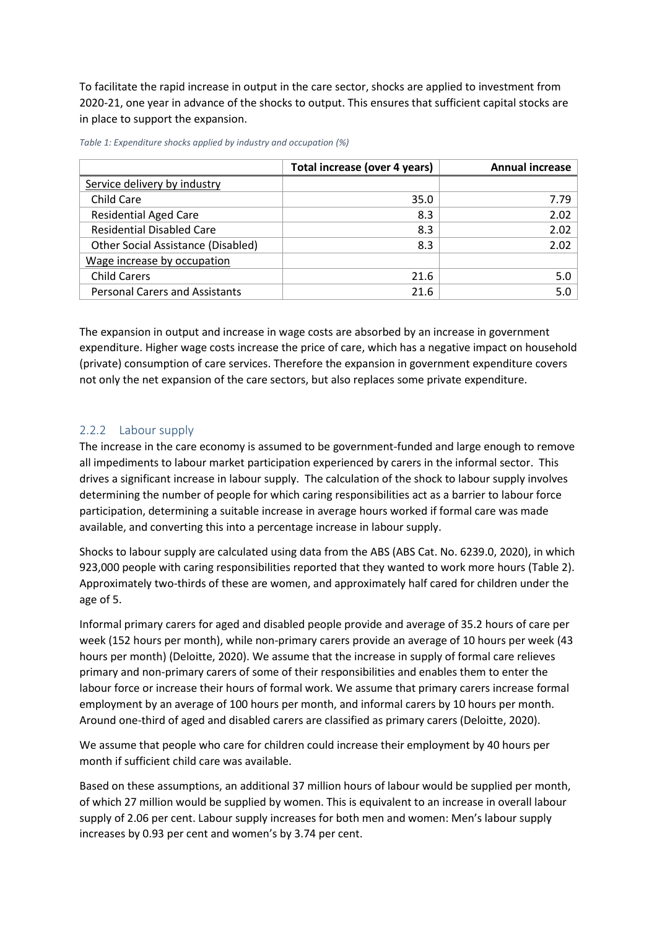To facilitate the rapid increase in output in the care sector, shocks are applied to investment from 2020-21, one year in advance of the shocks to output. This ensures that sufficient capital stocks are in place to support the expansion.

|                                       | Total increase (over 4 years) | <b>Annual increase</b> |
|---------------------------------------|-------------------------------|------------------------|
| Service delivery by industry          |                               |                        |
| Child Care                            | 35.0                          | 7.79                   |
| <b>Residential Aged Care</b>          | 8.3                           | 2.02                   |
| <b>Residential Disabled Care</b>      | 8.3                           | 2.02                   |
| Other Social Assistance (Disabled)    | 8.3                           | 2.02                   |
| Wage increase by occupation           |                               |                        |
| <b>Child Carers</b>                   | 21.6                          | 5.0                    |
| <b>Personal Carers and Assistants</b> | 21.6                          | 5.0                    |

<span id="page-2-1"></span>*Table 1: Expenditure shocks applied by industry and occupation (%)* 

The expansion in output and increase in wage costs are absorbed by an increase in government expenditure. Higher wage costs increase the price of care, which has a negative impact on household (private) consumption of care services. Therefore the expansion in government expenditure covers not only the net expansion of the care sectors, but also replaces some private expenditure.

### <span id="page-2-0"></span>2.2.2 Labour supply

The increase in the care economy is assumed to be government-funded and large enough to remove all impediments to labour market participation experienced by carers in the informal sector. This drives a significant increase in labour supply. The calculation of the shock to labour supply involves determining the number of people for which caring responsibilities act as a barrier to labour force participation, determining a suitable increase in average hours worked if formal care was made available, and converting this into a percentage increase in labour supply.

Shocks to labour supply are calculated using data from the ABS (ABS Cat. No. 6239.0, 2020), in which 923,000 people with caring responsibilities reported that they wanted to work more hours [\(Table 2\)](#page-3-0). Approximately two-thirds of these are women, and approximately half cared for children under the age of 5.

Informal primary carers for aged and disabled people provide and average of 35.2 hours of care per week (152 hours per month), while non-primary carers provide an average of 10 hours per week (43 hours per month) (Deloitte, 2020). We assume that the increase in supply of formal care relieves primary and non-primary carers of some of their responsibilities and enables them to enter the labour force or increase their hours of formal work. We assume that primary carers increase formal employment by an average of 100 hours per month, and informal carers by 10 hours per month. Around one-third of aged and disabled carers are classified as primary carers (Deloitte, 2020).

We assume that people who care for children could increase their employment by 40 hours per month if sufficient child care was available.

Based on these assumptions, an additional 37 million hours of labour would be supplied per month, of which 27 million would be supplied by women. This is equivalent to an increase in overall labour supply of 2.06 per cent. Labour supply increases for both men and women: Men's labour supply increases by 0.93 per cent and women's by 3.74 per cent.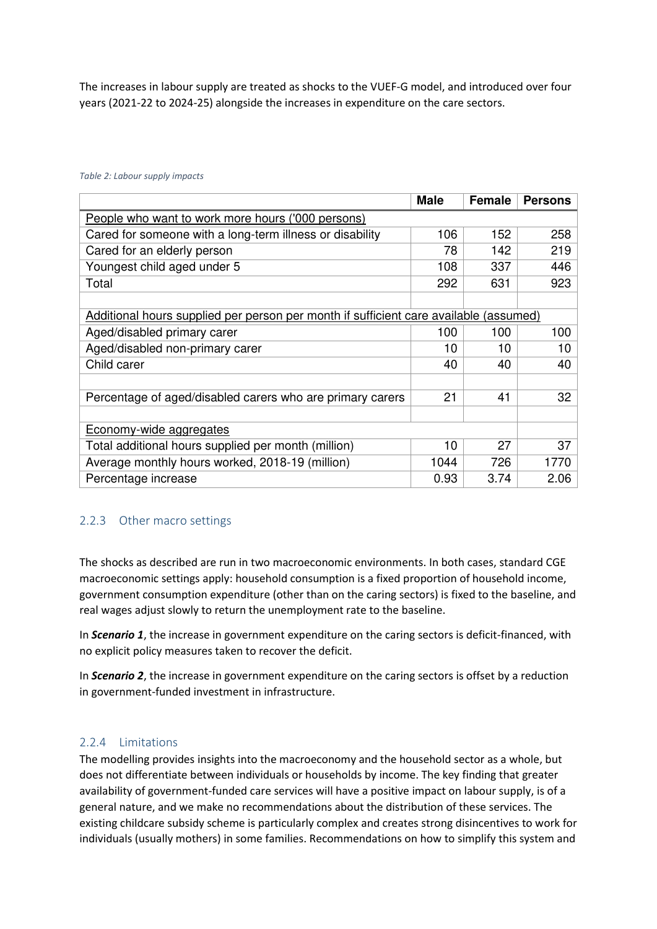The increases in labour supply are treated as shocks to the VUEF-G model, and introduced over four years (2021-22 to 2024-25) alongside the increases in expenditure on the care sectors.

#### <span id="page-3-0"></span>*Table 2: Labour supply impacts*

|                                                                                       | <b>Male</b> | Female | <b>Persons</b> |  |  |  |  |  |  |  |
|---------------------------------------------------------------------------------------|-------------|--------|----------------|--|--|--|--|--|--|--|
| People who want to work more hours ('000 persons)                                     |             |        |                |  |  |  |  |  |  |  |
| Cared for someone with a long-term illness or disability                              | 106         | 152    | 258            |  |  |  |  |  |  |  |
| Cared for an elderly person                                                           | 78          | 142    | 219            |  |  |  |  |  |  |  |
| Youngest child aged under 5                                                           | 108         | 337    | 446            |  |  |  |  |  |  |  |
| Total                                                                                 | 292         | 631    | 923            |  |  |  |  |  |  |  |
|                                                                                       |             |        |                |  |  |  |  |  |  |  |
| Additional hours supplied per person per month if sufficient care available (assumed) |             |        |                |  |  |  |  |  |  |  |
| Aged/disabled primary carer                                                           | 100         | 100    | 100            |  |  |  |  |  |  |  |
| Aged/disabled non-primary carer                                                       | 10          | 10     | 10             |  |  |  |  |  |  |  |
| Child carer                                                                           | 40          | 40     | 40             |  |  |  |  |  |  |  |
|                                                                                       |             |        |                |  |  |  |  |  |  |  |
| Percentage of aged/disabled carers who are primary carers                             | 21          | 41     | 32             |  |  |  |  |  |  |  |
|                                                                                       |             |        |                |  |  |  |  |  |  |  |
| Economy-wide aggregates                                                               |             |        |                |  |  |  |  |  |  |  |
| Total additional hours supplied per month (million)                                   | 10          | 27     | 37             |  |  |  |  |  |  |  |
| Average monthly hours worked, 2018-19 (million)                                       | 1044        | 726    | 1770           |  |  |  |  |  |  |  |
| Percentage increase                                                                   | 0.93        | 3.74   | 2.06           |  |  |  |  |  |  |  |

#### 2.2.3 Other macro settings

The shocks as described are run in two macroeconomic environments. In both cases, standard CGE macroeconomic settings apply: household consumption is a fixed proportion of household income, government consumption expenditure (other than on the caring sectors) is fixed to the baseline, and real wages adjust slowly to return the unemployment rate to the baseline.

In *Scenario 1*, the increase in government expenditure on the caring sectors is deficit-financed, with no explicit policy measures taken to recover the deficit.

In *Scenario 2*, the increase in government expenditure on the caring sectors is offset by a reduction in government-funded investment in infrastructure.

#### 2.2.4 Limitations

The modelling provides insights into the macroeconomy and the household sector as a whole, but does not differentiate between individuals or households by income. The key finding that greater availability of government-funded care services will have a positive impact on labour supply, is of a general nature, and we make no recommendations about the distribution of these services. The existing childcare subsidy scheme is particularly complex and creates strong disincentives to work for individuals (usually mothers) in some families. Recommendations on how to simplify this system and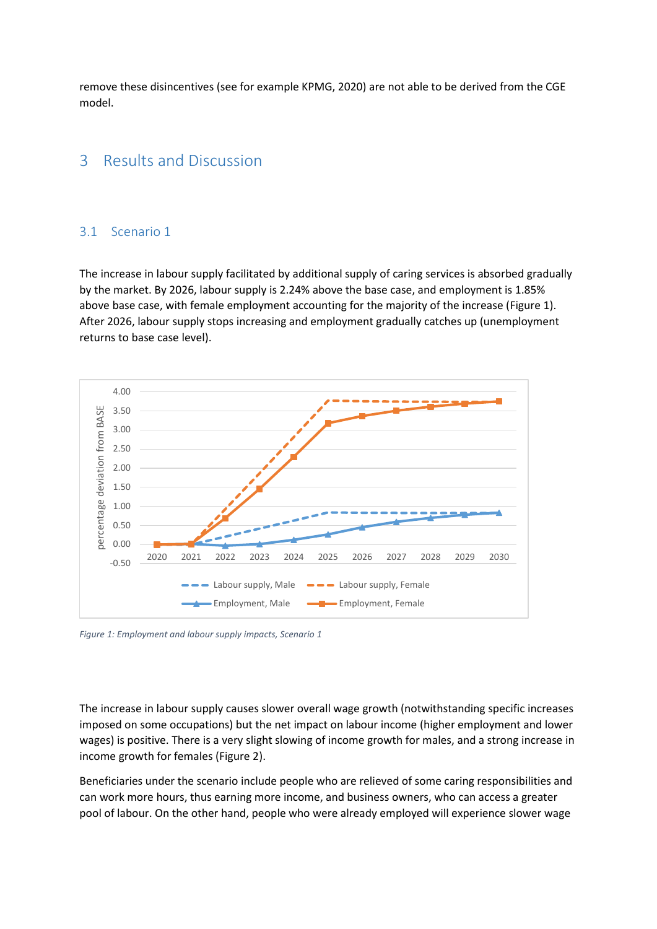remove these disincentives (see for example KPMG, 2020) are not able to be derived from the CGE model.

# 3 Results and Discussion

#### 3.1 Scenario 1

The increase in labour supply facilitated by additional supply of caring services is absorbed gradually by the market. By 2026, labour supply is 2.24% above the base case, and employment is 1.85% above base case, with female employment accounting for the majority of the increase [\(Figure 1\)](#page-4-0). After 2026, labour supply stops increasing and employment gradually catches up (unemployment returns to base case level).



<span id="page-4-0"></span>*Figure 1: Employment and labour supply impacts, Scenario 1* 

The increase in labour supply causes slower overall wage growth (notwithstanding specific increases imposed on some occupations) but the net impact on labour income (higher employment and lower wages) is positive. There is a very slight slowing of income growth for males, and a strong increase in income growth for females [\(Figure 2\)](#page-5-0).

Beneficiaries under the scenario include people who are relieved of some caring responsibilities and can work more hours, thus earning more income, and business owners, who can access a greater pool of labour. On the other hand, people who were already employed will experience slower wage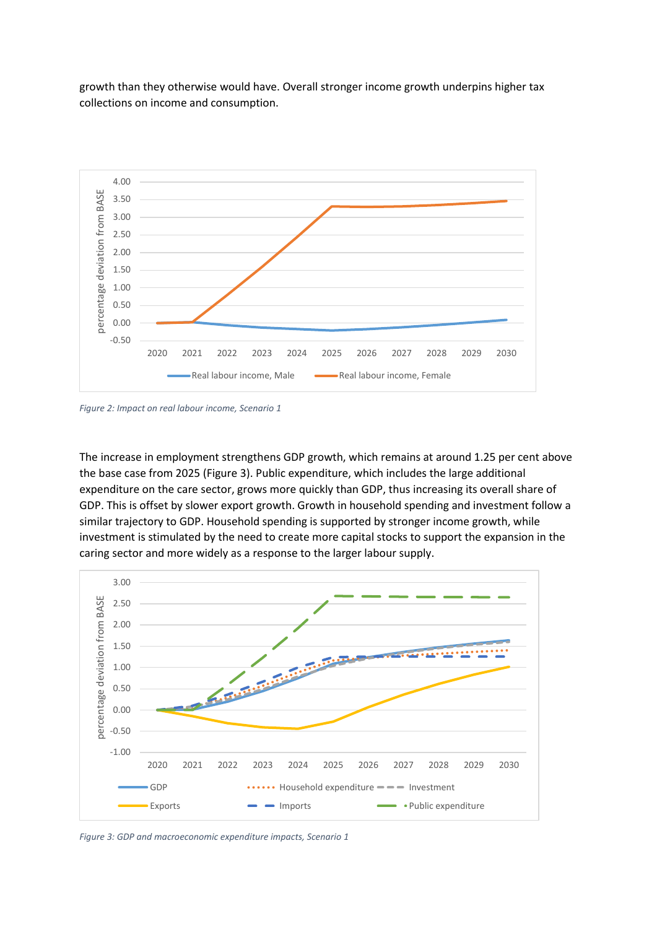growth than they otherwise would have. Overall stronger income growth underpins higher tax collections on income and consumption.



<span id="page-5-0"></span>*Figure 2: Impact on real labour income, Scenario 1* 

The increase in employment strengthens GDP growth, which remains at around 1.25 per cent above the base case from 2025 [\(Figure 3\)](#page-5-1). Public expenditure, which includes the large additional expenditure on the care sector, grows more quickly than GDP, thus increasing its overall share of GDP. This is offset by slower export growth. Growth in household spending and investment follow a similar trajectory to GDP. Household spending is supported by stronger income growth, while investment is stimulated by the need to create more capital stocks to support the expansion in the caring sector and more widely as a response to the larger labour supply.



<span id="page-5-1"></span>*Figure 3: GDP and macroeconomic expenditure impacts, Scenario 1*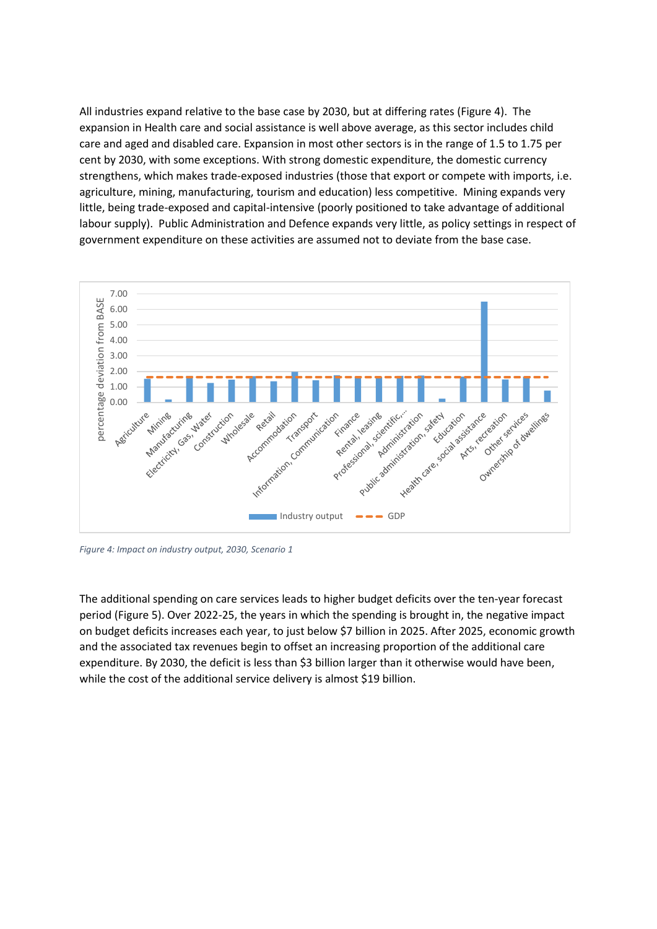All industries expand relative to the base case by 2030, but at differing rates [\(Figure 4\)](#page-6-0). The expansion in Health care and social assistance is well above average, as this sector includes child care and aged and disabled care. Expansion in most other sectors is in the range of 1.5 to 1.75 per cent by 2030, with some exceptions. With strong domestic expenditure, the domestic currency strengthens, which makes trade-exposed industries (those that export or compete with imports, i.e. agriculture, mining, manufacturing, tourism and education) less competitive. Mining expands very little, being trade-exposed and capital-intensive (poorly positioned to take advantage of additional labour supply). Public Administration and Defence expands very little, as policy settings in respect of government expenditure on these activities are assumed not to deviate from the base case.



<span id="page-6-0"></span>*Figure 4: Impact on industry output, 2030, Scenario 1* 

The additional spending on care services leads to higher budget deficits over the ten-year forecast period [\(Figure 5\)](#page-7-0). Over 2022-25, the years in which the spending is brought in, the negative impact on budget deficits increases each year, to just below \$7 billion in 2025. After 2025, economic growth and the associated tax revenues begin to offset an increasing proportion of the additional care expenditure. By 2030, the deficit is less than \$3 billion larger than it otherwise would have been, while the cost of the additional service delivery is almost \$19 billion.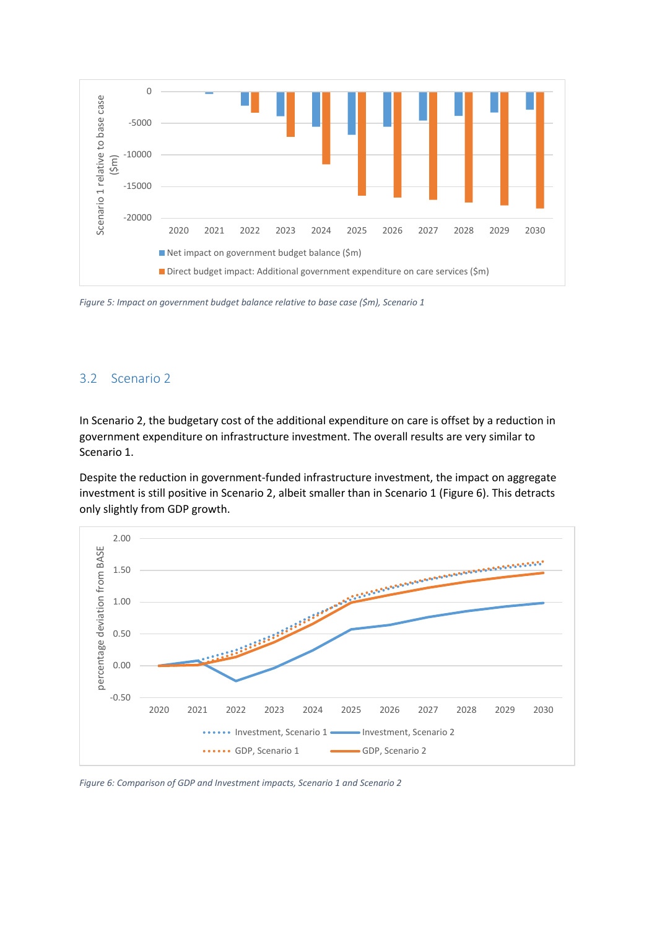

<span id="page-7-0"></span>*Figure 5: Impact on government budget balance relative to base case (\$m), Scenario 1* 

#### 3.2 Scenario 2

In Scenario 2, the budgetary cost of the additional expenditure on care is offset by a reduction in government expenditure on infrastructure investment. The overall results are very similar to Scenario 1.

Despite the reduction in government-funded infrastructure investment, the impact on aggregate investment is still positive in Scenario 2, albeit smaller than in Scenario 1 [\(Figure 6\)](#page-7-1). This detracts only slightly from GDP growth.



<span id="page-7-1"></span>*Figure 6: Comparison of GDP and Investment impacts, Scenario 1 and Scenario 2*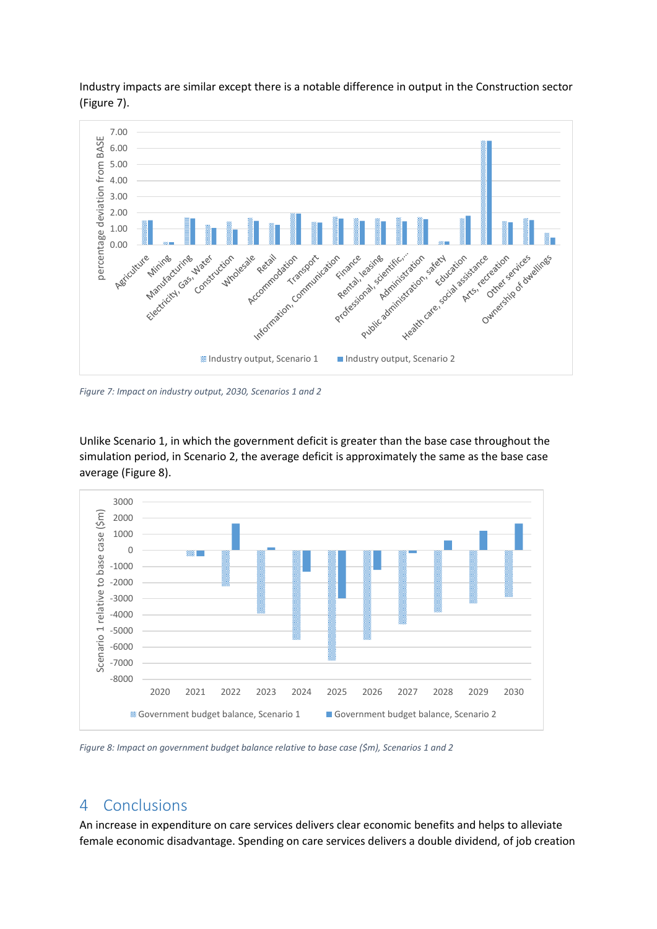

Industry impacts are similar except there is a notable difference in output in the Construction sector [\(Figure 7\)](#page-8-0).

<span id="page-8-0"></span>*Figure 7: Impact on industry output, 2030, Scenarios 1 and 2* 

Unlike Scenario 1, in which the government deficit is greater than the base case throughout the simulation period, in Scenario 2, the average deficit is approximately the same as the base case average [\(Figure 8\)](#page-8-1).



<span id="page-8-1"></span>*Figure 8: Impact on government budget balance relative to base case (\$m), Scenarios 1 and 2* 

## 4 Conclusions

An increase in expenditure on care services delivers clear economic benefits and helps to alleviate female economic disadvantage. Spending on care services delivers a double dividend, of job creation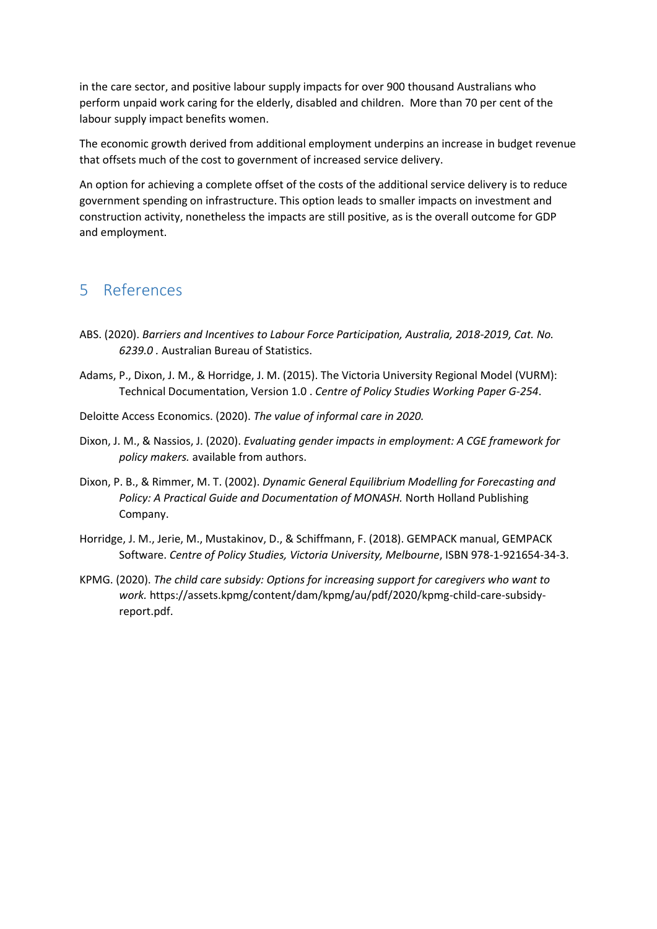in the care sector, and positive labour supply impacts for over 900 thousand Australians who perform unpaid work caring for the elderly, disabled and children. More than 70 per cent of the labour supply impact benefits women.

The economic growth derived from additional employment underpins an increase in budget revenue that offsets much of the cost to government of increased service delivery.

An option for achieving a complete offset of the costs of the additional service delivery is to reduce government spending on infrastructure. This option leads to smaller impacts on investment and construction activity, nonetheless the impacts are still positive, as is the overall outcome for GDP and employment.

# 5 References

- ABS. (2020). *Barriers and Incentives to Labour Force Participation, Australia, 2018-2019, Cat. No. 6239.0 .* Australian Bureau of Statistics.
- Adams, P., Dixon, J. M., & Horridge, J. M. (2015). The Victoria University Regional Model (VURM): Technical Documentation, Version 1.0 . *Centre of Policy Studies Working Paper G-254*.
- Deloitte Access Economics. (2020). *The value of informal care in 2020.*
- Dixon, J. M., & Nassios, J. (2020). *Evaluating gender impacts in employment: A CGE framework for policy makers.* available from authors.
- Dixon, P. B., & Rimmer, M. T. (2002). *Dynamic General Equilibrium Modelling for Forecasting and Policy: A Practical Guide and Documentation of MONASH.* North Holland Publishing Company.
- Horridge, J. M., Jerie, M., Mustakinov, D., & Schiffmann, F. (2018). GEMPACK manual, GEMPACK Software. *Centre of Policy Studies, Victoria University, Melbourne*, ISBN 978-1-921654-34-3.
- KPMG. (2020). *The child care subsidy: Options for increasing support for caregivers who want to work.* https://assets.kpmg/content/dam/kpmg/au/pdf/2020/kpmg-child-care-subsidyreport.pdf.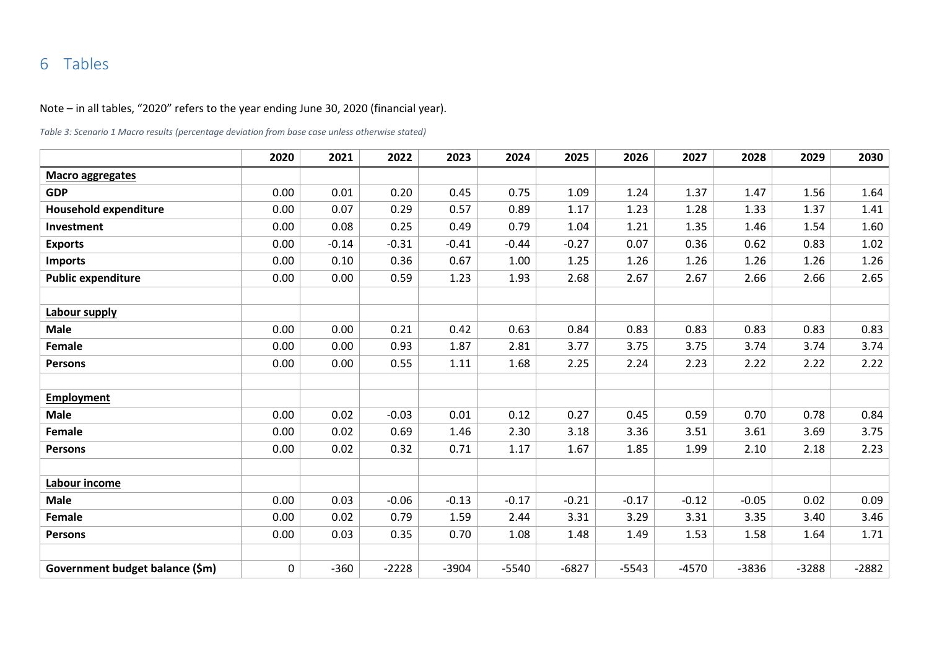# 6 Tables

Note – in all tables, "2020" refers to the year ending June 30, 2020 (financial year).

*Table 3: Scenario 1 Macro results (percentage deviation from base case unless otherwise stated)* 

|                                 | 2020 | 2021    | 2022    | 2023    | 2024    | 2025    | 2026    | 2027    | 2028    | 2029    | 2030    |
|---------------------------------|------|---------|---------|---------|---------|---------|---------|---------|---------|---------|---------|
| <b>Macro aggregates</b>         |      |         |         |         |         |         |         |         |         |         |         |
| <b>GDP</b>                      | 0.00 | 0.01    | 0.20    | 0.45    | 0.75    | 1.09    | 1.24    | 1.37    | 1.47    | 1.56    | 1.64    |
| <b>Household expenditure</b>    | 0.00 | 0.07    | 0.29    | 0.57    | 0.89    | 1.17    | 1.23    | 1.28    | 1.33    | 1.37    | 1.41    |
| Investment                      | 0.00 | 0.08    | 0.25    | 0.49    | 0.79    | 1.04    | 1.21    | 1.35    | 1.46    | 1.54    | 1.60    |
| <b>Exports</b>                  | 0.00 | $-0.14$ | $-0.31$ | $-0.41$ | $-0.44$ | $-0.27$ | 0.07    | 0.36    | 0.62    | 0.83    | 1.02    |
| <b>Imports</b>                  | 0.00 | 0.10    | 0.36    | 0.67    | 1.00    | 1.25    | 1.26    | 1.26    | 1.26    | 1.26    | 1.26    |
| <b>Public expenditure</b>       | 0.00 | 0.00    | 0.59    | 1.23    | 1.93    | 2.68    | 2.67    | 2.67    | 2.66    | 2.66    | 2.65    |
|                                 |      |         |         |         |         |         |         |         |         |         |         |
| Labour supply                   |      |         |         |         |         |         |         |         |         |         |         |
| <b>Male</b>                     | 0.00 | 0.00    | 0.21    | 0.42    | 0.63    | 0.84    | 0.83    | 0.83    | 0.83    | 0.83    | 0.83    |
| Female                          | 0.00 | 0.00    | 0.93    | 1.87    | 2.81    | 3.77    | 3.75    | 3.75    | 3.74    | 3.74    | 3.74    |
| <b>Persons</b>                  | 0.00 | 0.00    | 0.55    | 1.11    | 1.68    | 2.25    | 2.24    | 2.23    | 2.22    | 2.22    | 2.22    |
|                                 |      |         |         |         |         |         |         |         |         |         |         |
| <b>Employment</b>               |      |         |         |         |         |         |         |         |         |         |         |
| <b>Male</b>                     | 0.00 | 0.02    | $-0.03$ | 0.01    | 0.12    | 0.27    | 0.45    | 0.59    | 0.70    | 0.78    | 0.84    |
| Female                          | 0.00 | 0.02    | 0.69    | 1.46    | 2.30    | 3.18    | 3.36    | 3.51    | 3.61    | 3.69    | 3.75    |
| <b>Persons</b>                  | 0.00 | 0.02    | 0.32    | 0.71    | 1.17    | 1.67    | 1.85    | 1.99    | 2.10    | 2.18    | 2.23    |
|                                 |      |         |         |         |         |         |         |         |         |         |         |
| Labour income                   |      |         |         |         |         |         |         |         |         |         |         |
| <b>Male</b>                     | 0.00 | 0.03    | $-0.06$ | $-0.13$ | $-0.17$ | $-0.21$ | $-0.17$ | $-0.12$ | $-0.05$ | 0.02    | 0.09    |
| Female                          | 0.00 | 0.02    | 0.79    | 1.59    | 2.44    | 3.31    | 3.29    | 3.31    | 3.35    | 3.40    | 3.46    |
| <b>Persons</b>                  | 0.00 | 0.03    | 0.35    | 0.70    | 1.08    | 1.48    | 1.49    | 1.53    | 1.58    | 1.64    | 1.71    |
|                                 |      |         |         |         |         |         |         |         |         |         |         |
| Government budget balance (\$m) | 0    | $-360$  | $-2228$ | $-3904$ | $-5540$ | $-6827$ | $-5543$ | $-4570$ | $-3836$ | $-3288$ | $-2882$ |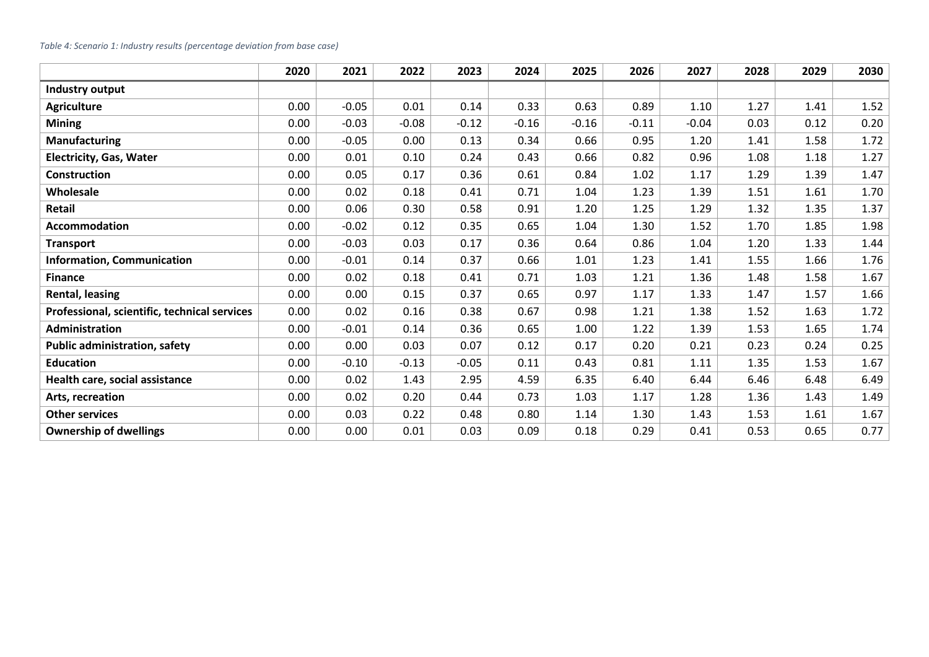#### *Table 4: Scenario 1: Industry results (percentage deviation from base case)*

|                                              | 2020 | 2021    | 2022    | 2023    | 2024    | 2025    | 2026    | 2027    | 2028 | 2029 | 2030 |
|----------------------------------------------|------|---------|---------|---------|---------|---------|---------|---------|------|------|------|
| Industry output                              |      |         |         |         |         |         |         |         |      |      |      |
| <b>Agriculture</b>                           | 0.00 | $-0.05$ | 0.01    | 0.14    | 0.33    | 0.63    | 0.89    | 1.10    | 1.27 | 1.41 | 1.52 |
| <b>Mining</b>                                | 0.00 | $-0.03$ | $-0.08$ | $-0.12$ | $-0.16$ | $-0.16$ | $-0.11$ | $-0.04$ | 0.03 | 0.12 | 0.20 |
| <b>Manufacturing</b>                         | 0.00 | $-0.05$ | 0.00    | 0.13    | 0.34    | 0.66    | 0.95    | 1.20    | 1.41 | 1.58 | 1.72 |
| <b>Electricity, Gas, Water</b>               | 0.00 | 0.01    | 0.10    | 0.24    | 0.43    | 0.66    | 0.82    | 0.96    | 1.08 | 1.18 | 1.27 |
| <b>Construction</b>                          | 0.00 | 0.05    | 0.17    | 0.36    | 0.61    | 0.84    | 1.02    | 1.17    | 1.29 | 1.39 | 1.47 |
| Wholesale                                    | 0.00 | 0.02    | 0.18    | 0.41    | 0.71    | 1.04    | 1.23    | 1.39    | 1.51 | 1.61 | 1.70 |
| Retail                                       | 0.00 | 0.06    | 0.30    | 0.58    | 0.91    | 1.20    | 1.25    | 1.29    | 1.32 | 1.35 | 1.37 |
| <b>Accommodation</b>                         | 0.00 | $-0.02$ | 0.12    | 0.35    | 0.65    | 1.04    | 1.30    | 1.52    | 1.70 | 1.85 | 1.98 |
| <b>Transport</b>                             | 0.00 | $-0.03$ | 0.03    | 0.17    | 0.36    | 0.64    | 0.86    | 1.04    | 1.20 | 1.33 | 1.44 |
| <b>Information, Communication</b>            | 0.00 | $-0.01$ | 0.14    | 0.37    | 0.66    | 1.01    | 1.23    | 1.41    | 1.55 | 1.66 | 1.76 |
| <b>Finance</b>                               | 0.00 | 0.02    | 0.18    | 0.41    | 0.71    | 1.03    | 1.21    | 1.36    | 1.48 | 1.58 | 1.67 |
| <b>Rental, leasing</b>                       | 0.00 | 0.00    | 0.15    | 0.37    | 0.65    | 0.97    | 1.17    | 1.33    | 1.47 | 1.57 | 1.66 |
| Professional, scientific, technical services | 0.00 | 0.02    | 0.16    | 0.38    | 0.67    | 0.98    | 1.21    | 1.38    | 1.52 | 1.63 | 1.72 |
| Administration                               | 0.00 | $-0.01$ | 0.14    | 0.36    | 0.65    | 1.00    | 1.22    | 1.39    | 1.53 | 1.65 | 1.74 |
| <b>Public administration, safety</b>         | 0.00 | 0.00    | 0.03    | 0.07    | 0.12    | 0.17    | 0.20    | 0.21    | 0.23 | 0.24 | 0.25 |
| <b>Education</b>                             | 0.00 | $-0.10$ | $-0.13$ | $-0.05$ | 0.11    | 0.43    | 0.81    | 1.11    | 1.35 | 1.53 | 1.67 |
| Health care, social assistance               | 0.00 | 0.02    | 1.43    | 2.95    | 4.59    | 6.35    | 6.40    | 6.44    | 6.46 | 6.48 | 6.49 |
| Arts, recreation                             | 0.00 | 0.02    | 0.20    | 0.44    | 0.73    | 1.03    | 1.17    | 1.28    | 1.36 | 1.43 | 1.49 |
| <b>Other services</b>                        | 0.00 | 0.03    | 0.22    | 0.48    | 0.80    | 1.14    | 1.30    | 1.43    | 1.53 | 1.61 | 1.67 |
| <b>Ownership of dwellings</b>                | 0.00 | 0.00    | 0.01    | 0.03    | 0.09    | 0.18    | 0.29    | 0.41    | 0.53 | 0.65 | 0.77 |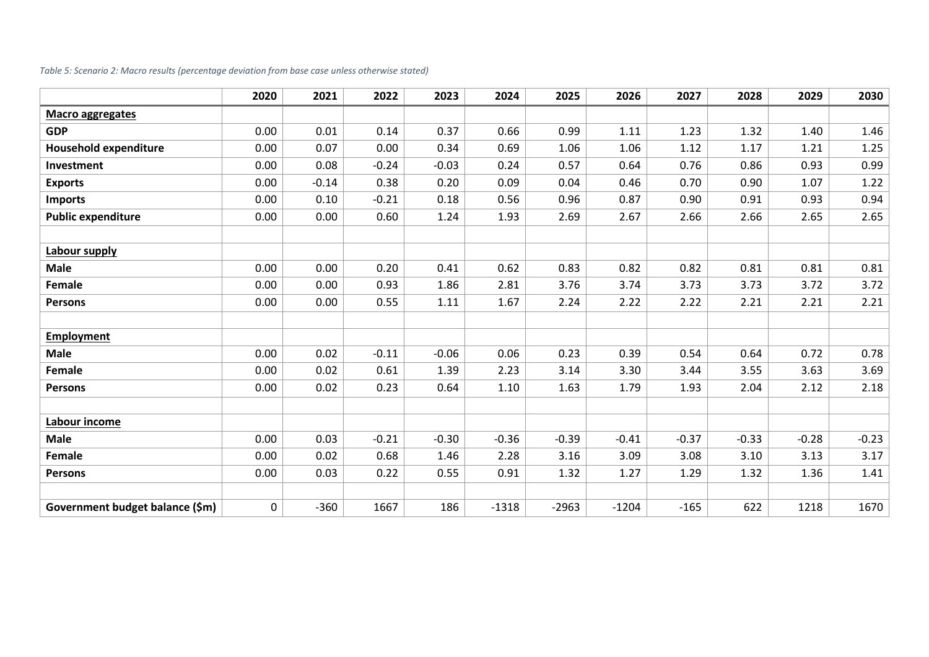|  |  | Table 5: Scenario 2: Macro results (percentage deviation from base case unless otherwise stated) |
|--|--|--------------------------------------------------------------------------------------------------|
|--|--|--------------------------------------------------------------------------------------------------|

|                                 | 2020 | 2021    | 2022    | 2023    | 2024    | 2025    | 2026    | 2027    | 2028    | 2029    | 2030    |
|---------------------------------|------|---------|---------|---------|---------|---------|---------|---------|---------|---------|---------|
| <b>Macro aggregates</b>         |      |         |         |         |         |         |         |         |         |         |         |
| <b>GDP</b>                      | 0.00 | 0.01    | 0.14    | 0.37    | 0.66    | 0.99    | 1.11    | 1.23    | 1.32    | 1.40    | 1.46    |
| <b>Household expenditure</b>    | 0.00 | 0.07    | 0.00    | 0.34    | 0.69    | 1.06    | 1.06    | 1.12    | 1.17    | 1.21    | 1.25    |
| Investment                      | 0.00 | 0.08    | $-0.24$ | $-0.03$ | 0.24    | 0.57    | 0.64    | 0.76    | 0.86    | 0.93    | 0.99    |
| <b>Exports</b>                  | 0.00 | $-0.14$ | 0.38    | 0.20    | 0.09    | 0.04    | 0.46    | 0.70    | 0.90    | 1.07    | 1.22    |
| <b>Imports</b>                  | 0.00 | 0.10    | $-0.21$ | 0.18    | 0.56    | 0.96    | 0.87    | 0.90    | 0.91    | 0.93    | 0.94    |
| <b>Public expenditure</b>       | 0.00 | 0.00    | 0.60    | 1.24    | 1.93    | 2.69    | 2.67    | 2.66    | 2.66    | 2.65    | 2.65    |
|                                 |      |         |         |         |         |         |         |         |         |         |         |
| Labour supply                   |      |         |         |         |         |         |         |         |         |         |         |
| <b>Male</b>                     | 0.00 | 0.00    | 0.20    | 0.41    | 0.62    | 0.83    | 0.82    | 0.82    | 0.81    | 0.81    | 0.81    |
| Female                          | 0.00 | 0.00    | 0.93    | 1.86    | 2.81    | 3.76    | 3.74    | 3.73    | 3.73    | 3.72    | 3.72    |
| <b>Persons</b>                  | 0.00 | 0.00    | 0.55    | 1.11    | 1.67    | 2.24    | 2.22    | 2.22    | 2.21    | 2.21    | 2.21    |
|                                 |      |         |         |         |         |         |         |         |         |         |         |
| <b>Employment</b>               |      |         |         |         |         |         |         |         |         |         |         |
| <b>Male</b>                     | 0.00 | 0.02    | $-0.11$ | $-0.06$ | 0.06    | 0.23    | 0.39    | 0.54    | 0.64    | 0.72    | 0.78    |
| Female                          | 0.00 | 0.02    | 0.61    | 1.39    | 2.23    | 3.14    | 3.30    | 3.44    | 3.55    | 3.63    | 3.69    |
| <b>Persons</b>                  | 0.00 | 0.02    | 0.23    | 0.64    | 1.10    | 1.63    | 1.79    | 1.93    | 2.04    | 2.12    | 2.18    |
|                                 |      |         |         |         |         |         |         |         |         |         |         |
| Labour income                   |      |         |         |         |         |         |         |         |         |         |         |
| <b>Male</b>                     | 0.00 | 0.03    | $-0.21$ | $-0.30$ | $-0.36$ | $-0.39$ | $-0.41$ | $-0.37$ | $-0.33$ | $-0.28$ | $-0.23$ |
| Female                          | 0.00 | 0.02    | 0.68    | 1.46    | 2.28    | 3.16    | 3.09    | 3.08    | 3.10    | 3.13    | 3.17    |
| <b>Persons</b>                  | 0.00 | 0.03    | 0.22    | 0.55    | 0.91    | 1.32    | 1.27    | 1.29    | 1.32    | 1.36    | 1.41    |
|                                 |      |         |         |         |         |         |         |         |         |         |         |
| Government budget balance (\$m) | 0    | $-360$  | 1667    | 186     | $-1318$ | $-2963$ | $-1204$ | $-165$  | 622     | 1218    | 1670    |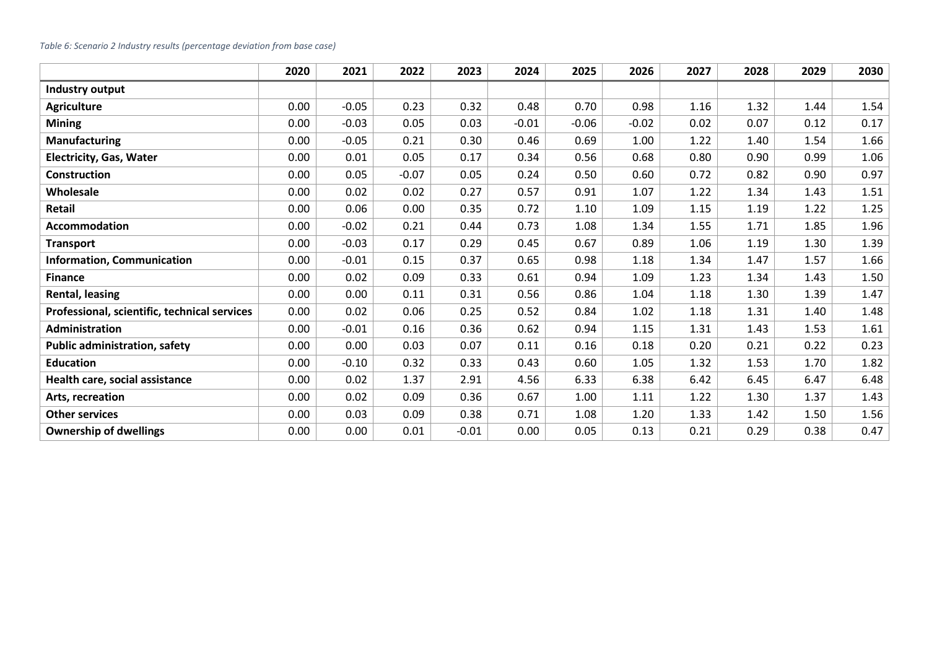#### *Table 6: Scenario 2 Industry results (percentage deviation from base case)*

|                                              | 2020 | 2021    | 2022    | 2023    | 2024    | 2025    | 2026    | 2027 | 2028 | 2029 | 2030 |
|----------------------------------------------|------|---------|---------|---------|---------|---------|---------|------|------|------|------|
| Industry output                              |      |         |         |         |         |         |         |      |      |      |      |
| <b>Agriculture</b>                           | 0.00 | $-0.05$ | 0.23    | 0.32    | 0.48    | 0.70    | 0.98    | 1.16 | 1.32 | 1.44 | 1.54 |
| <b>Mining</b>                                | 0.00 | $-0.03$ | 0.05    | 0.03    | $-0.01$ | $-0.06$ | $-0.02$ | 0.02 | 0.07 | 0.12 | 0.17 |
| <b>Manufacturing</b>                         | 0.00 | $-0.05$ | 0.21    | 0.30    | 0.46    | 0.69    | 1.00    | 1.22 | 1.40 | 1.54 | 1.66 |
| <b>Electricity, Gas, Water</b>               | 0.00 | 0.01    | 0.05    | 0.17    | 0.34    | 0.56    | 0.68    | 0.80 | 0.90 | 0.99 | 1.06 |
| <b>Construction</b>                          | 0.00 | 0.05    | $-0.07$ | 0.05    | 0.24    | 0.50    | 0.60    | 0.72 | 0.82 | 0.90 | 0.97 |
| Wholesale                                    | 0.00 | 0.02    | 0.02    | 0.27    | 0.57    | 0.91    | 1.07    | 1.22 | 1.34 | 1.43 | 1.51 |
| Retail                                       | 0.00 | 0.06    | 0.00    | 0.35    | 0.72    | 1.10    | 1.09    | 1.15 | 1.19 | 1.22 | 1.25 |
| <b>Accommodation</b>                         | 0.00 | $-0.02$ | 0.21    | 0.44    | 0.73    | 1.08    | 1.34    | 1.55 | 1.71 | 1.85 | 1.96 |
| <b>Transport</b>                             | 0.00 | $-0.03$ | 0.17    | 0.29    | 0.45    | 0.67    | 0.89    | 1.06 | 1.19 | 1.30 | 1.39 |
| <b>Information, Communication</b>            | 0.00 | $-0.01$ | 0.15    | 0.37    | 0.65    | 0.98    | 1.18    | 1.34 | 1.47 | 1.57 | 1.66 |
| <b>Finance</b>                               | 0.00 | 0.02    | 0.09    | 0.33    | 0.61    | 0.94    | 1.09    | 1.23 | 1.34 | 1.43 | 1.50 |
| Rental, leasing                              | 0.00 | 0.00    | 0.11    | 0.31    | 0.56    | 0.86    | 1.04    | 1.18 | 1.30 | 1.39 | 1.47 |
| Professional, scientific, technical services | 0.00 | 0.02    | 0.06    | 0.25    | 0.52    | 0.84    | 1.02    | 1.18 | 1.31 | 1.40 | 1.48 |
| Administration                               | 0.00 | $-0.01$ | 0.16    | 0.36    | 0.62    | 0.94    | 1.15    | 1.31 | 1.43 | 1.53 | 1.61 |
| <b>Public administration, safety</b>         | 0.00 | 0.00    | 0.03    | 0.07    | 0.11    | 0.16    | 0.18    | 0.20 | 0.21 | 0.22 | 0.23 |
| <b>Education</b>                             | 0.00 | $-0.10$ | 0.32    | 0.33    | 0.43    | 0.60    | 1.05    | 1.32 | 1.53 | 1.70 | 1.82 |
| Health care, social assistance               | 0.00 | 0.02    | 1.37    | 2.91    | 4.56    | 6.33    | 6.38    | 6.42 | 6.45 | 6.47 | 6.48 |
| Arts, recreation                             | 0.00 | 0.02    | 0.09    | 0.36    | 0.67    | 1.00    | 1.11    | 1.22 | 1.30 | 1.37 | 1.43 |
| <b>Other services</b>                        | 0.00 | 0.03    | 0.09    | 0.38    | 0.71    | 1.08    | 1.20    | 1.33 | 1.42 | 1.50 | 1.56 |
| <b>Ownership of dwellings</b>                | 0.00 | 0.00    | 0.01    | $-0.01$ | 0.00    | 0.05    | 0.13    | 0.21 | 0.29 | 0.38 | 0.47 |